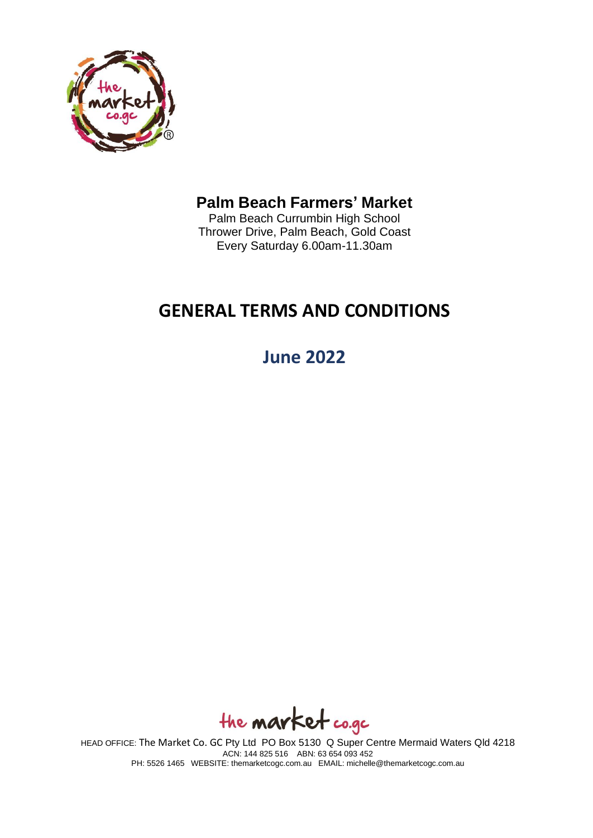

# **Palm Beach Farmers' Market**

Palm Beach Currumbin High School Thrower Drive, Palm Beach, Gold Coast Every Saturday 6.00am-11.30am

# **GENERAL TERMS AND CONDITIONS**

**June 2022**

the **market** co.gc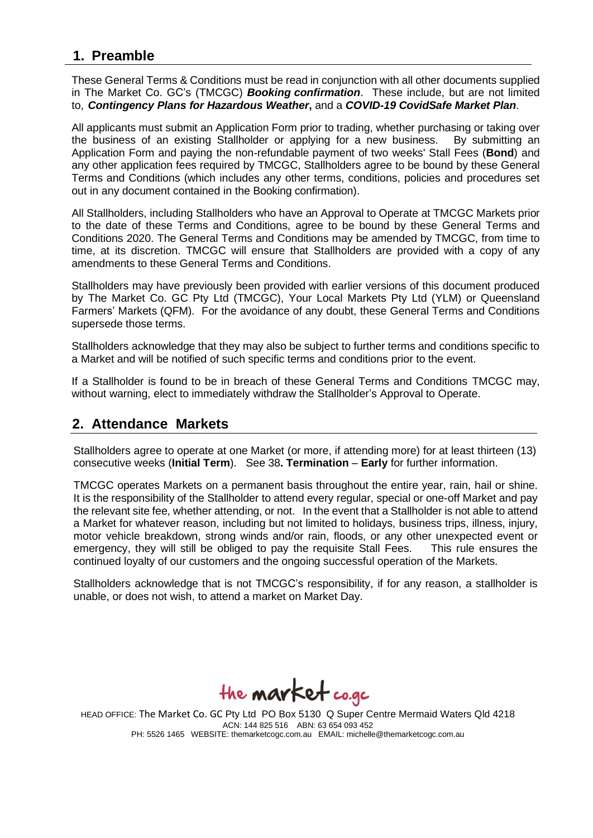## **1. Preamble**

These General Terms & Conditions must be read in conjunction with all other documents supplied in The Market Co. GC's (TMCGC) *Booking confirmation*. These include, but are not limited to, *Contingency Plans for Hazardous Weather***,** and a *COVID-19 CovidSafe Market Plan*.

All applicants must submit an Application Form prior to trading, whether purchasing or taking over the business of an existing Stallholder or applying for a new business. By submitting an Application Form and paying the non-refundable payment of two weeks' Stall Fees (**Bond**) and any other application fees required by TMCGC, Stallholders agree to be bound by these General Terms and Conditions (which includes any other terms, conditions, policies and procedures set out in any document contained in the Booking confirmation).

All Stallholders, including Stallholders who have an Approval to Operate at TMCGC Markets prior to the date of these Terms and Conditions, agree to be bound by these General Terms and Conditions 2020. The General Terms and Conditions may be amended by TMCGC, from time to time, at its discretion. TMCGC will ensure that Stallholders are provided with a copy of any amendments to these General Terms and Conditions.

Stallholders may have previously been provided with earlier versions of this document produced by The Market Co. GC Pty Ltd (TMCGC), Your Local Markets Pty Ltd (YLM) or Queensland Farmers' Markets (QFM). For the avoidance of any doubt, these General Terms and Conditions supersede those terms.

Stallholders acknowledge that they may also be subject to further terms and conditions specific to a Market and will be notified of such specific terms and conditions prior to the event.

If a Stallholder is found to be in breach of these General Terms and Conditions TMCGC may, without warning, elect to immediately withdraw the Stallholder's Approval to Operate.

#### **2. Attendance Markets**

Stallholders agree to operate at one Market (or more, if attending more) for at least thirteen (13) consecutive weeks (**Initial Term**). See 38**. Termination** – **Early** for further information.

TMCGC operates Markets on a permanent basis throughout the entire year, rain, hail or shine. It is the responsibility of the Stallholder to attend every regular, special or one-off Market and pay the relevant site fee, whether attending, or not. In the event that a Stallholder is not able to attend a Market for whatever reason, including but not limited to holidays, business trips, illness, injury, motor vehicle breakdown, strong winds and/or rain, floods, or any other unexpected event or emergency, they will still be obliged to pay the requisite Stall Fees. This rule ensures the continued loyalty of our customers and the ongoing successful operation of the Markets.

Stallholders acknowledge that is not TMCGC's responsibility, if for any reason, a stallholder is unable, or does not wish, to attend a market on Market Day.

the **market** co.gc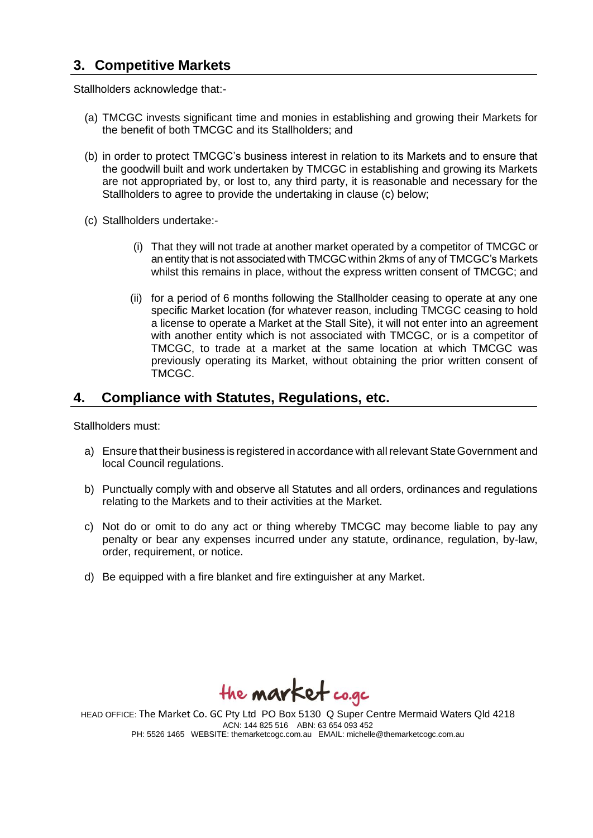## **3. Competitive Markets**

Stallholders acknowledge that:-

- (a) TMCGC invests significant time and monies in establishing and growing their Markets for the benefit of both TMCGC and its Stallholders; and
- (b) in order to protect TMCGC's business interest in relation to its Markets and to ensure that the goodwill built and work undertaken by TMCGC in establishing and growing its Markets are not appropriated by, or lost to, any third party, it is reasonable and necessary for the Stallholders to agree to provide the undertaking in clause (c) below;
- (c) Stallholders undertake:-
	- (i) That they will not trade at another market operated by a competitor of TMCGC or an entity that is not associated with TMCGC within 2kms of any of TMCGC's Markets whilst this remains in place, without the express written consent of TMCGC; and
	- (ii) for a period of 6 months following the Stallholder ceasing to operate at any one specific Market location (for whatever reason, including TMCGC ceasing to hold a license to operate a Market at the Stall Site), it will not enter into an agreement with another entity which is not associated with TMCGC, or is a competitor of TMCGC, to trade at a market at the same location at which TMCGC was previously operating its Market, without obtaining the prior written consent of TMCGC.

#### **4. Compliance with Statutes, Regulations, etc.**

Stallholders must:

- a) Ensure that their business is registered in accordance with allrelevant StateGovernment and local Council regulations.
- b) Punctually comply with and observe all Statutes and all orders, ordinances and regulations relating to the Markets and to their activities at the Market.
- c) Not do or omit to do any act or thing whereby TMCGC may become liable to pay any penalty or bear any expenses incurred under any statute, ordinance, regulation, by-law, order, requirement, or notice.
- d) Be equipped with a fire blanket and fire extinguisher at any Market.

the **market** co.gc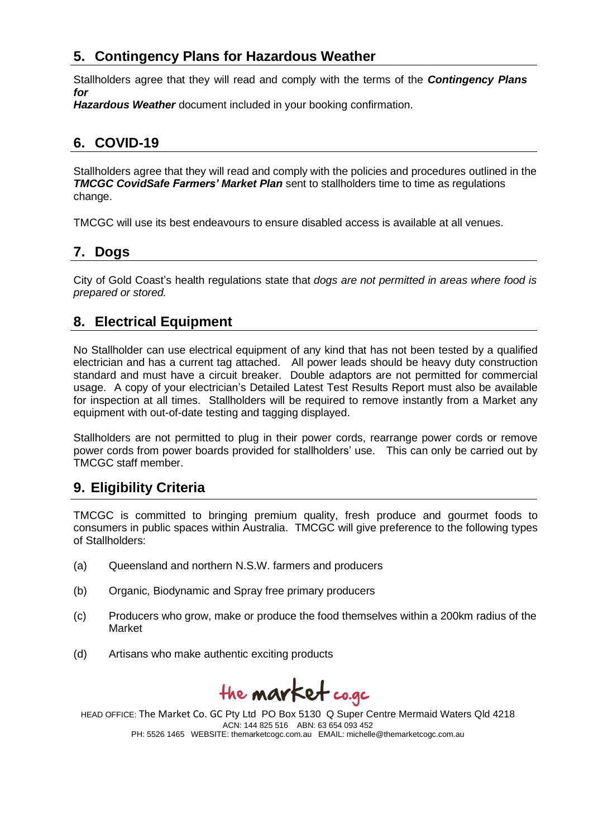## **5. Contingency Plans for Hazardous Weather**

Stallholders agree that they will read and comply with the terms of the *Contingency Plans for*

*Hazardous Weather* document included in your booking confirmation.

## **6. COVID-19**

Stallholders agree that they will read and comply with the policies and procedures outlined in the *TMCGC CovidSafe Farmers' Market Plan* sent to stallholders time to time as regulations change.

TMCGC will use its best endeavours to ensure disabled access is available at all venues.

#### **7. Dogs**

City of Gold Coast's health regulations state that *dogs are not permitted in areas where food is prepared or stored.*

## **8. Electrical Equipment**

No Stallholder can use electrical equipment of any kind that has not been tested by a qualified electrician and has a current tag attached. All power leads should be heavy duty construction standard and must have a circuit breaker. Double adaptors are not permitted for commercial usage. A copy of your electrician's Detailed Latest Test Results Report must also be available for inspection at all times. Stallholders will be required to remove instantly from a Market any equipment with out-of-date testing and tagging displayed.

Stallholders are not permitted to plug in their power cords, rearrange power cords or remove power cords from power boards provided for stallholders' use. This can only be carried out by TMCGC staff member.

## **9. Eligibility Criteria**

TMCGC is committed to bringing premium quality, fresh produce and gourmet foods to consumers in public spaces within Australia. TMCGC will give preference to the following types of Stallholders:

- (a) Queensland and northern N.S.W. farmers and producers
- (b) Organic, Biodynamic and Spray free primary producers
- (c) Producers who grow, make or produce the food themselves within a 200km radius of the Market
- (d) Artisans who make authentic exciting products

the **market** co.gc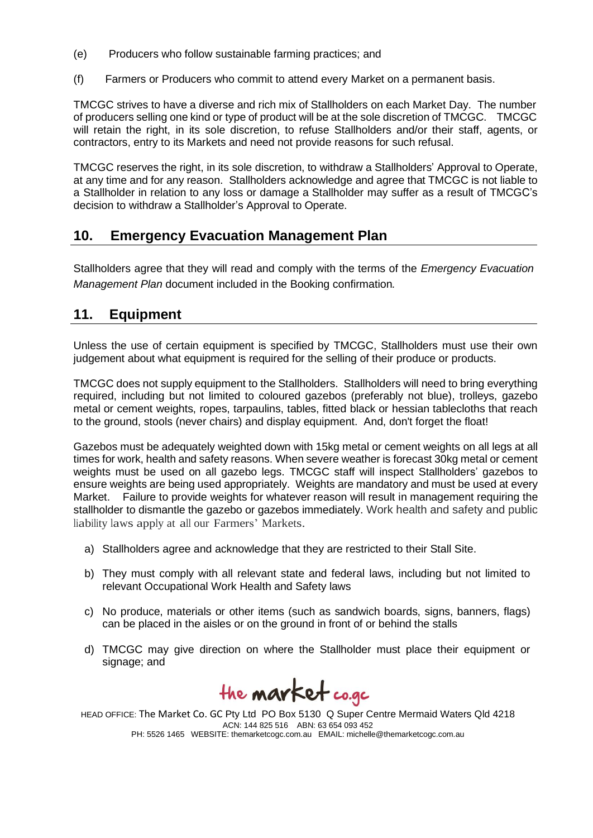- (e) Producers who follow sustainable farming practices; and
- (f) Farmers or Producers who commit to attend every Market on a permanent basis.

TMCGC strives to have a diverse and rich mix of Stallholders on each Market Day. The number of producers selling one kind or type of product will be at the sole discretion of TMCGC. TMCGC will retain the right, in its sole discretion, to refuse Stallholders and/or their staff, agents, or contractors, entry to its Markets and need not provide reasons for such refusal.

TMCGC reserves the right, in its sole discretion, to withdraw a Stallholders' Approval to Operate, at any time and for any reason. Stallholders acknowledge and agree that TMCGC is not liable to a Stallholder in relation to any loss or damage a Stallholder may suffer as a result of TMCGC's decision to withdraw a Stallholder's Approval to Operate.

## **10. Emergency Evacuation Management Plan**

Stallholders agree that they will read and comply with the terms of the *Emergency Evacuation Management Plan* document included in the Booking confirmation*.*

## **11. Equipment**

Unless the use of certain equipment is specified by TMCGC, Stallholders must use their own judgement about what equipment is required for the selling of their produce or products.

TMCGC does not supply equipment to the Stallholders. Stallholders will need to bring everything required, including but not limited to coloured gazebos (preferably not blue), trolleys, gazebo metal or cement weights, ropes, tarpaulins, tables, fitted black or hessian tablecloths that reach to the ground, stools (never chairs) and display equipment. And, don't forget the float!

Gazebos must be adequately weighted down with 15kg metal or cement weights on all legs at all times for work, health and safety reasons. When severe weather is forecast 30kg metal or cement weights must be used on all gazebo legs. TMCGC staff will inspect Stallholders' gazebos to ensure weights are being used appropriately. Weights are mandatory and must be used at every Market. Failure to provide weights for whatever reason will result in management requiring the stallholder to dismantle the gazebo or gazebos immediately. Work health and safety and public liability laws apply at all our Farmers' Markets.

- a) Stallholders agree and acknowledge that they are restricted to their Stall Site.
- b) They must comply with all relevant state and federal laws, including but not limited to relevant Occupational Work Health and Safety laws
- c) No produce, materials or other items (such as sandwich boards, signs, banners, flags) can be placed in the aisles or on the ground in front of or behind the stalls
- d) TMCGC may give direction on where the Stallholder must place their equipment or signage; and

the **market** co.gc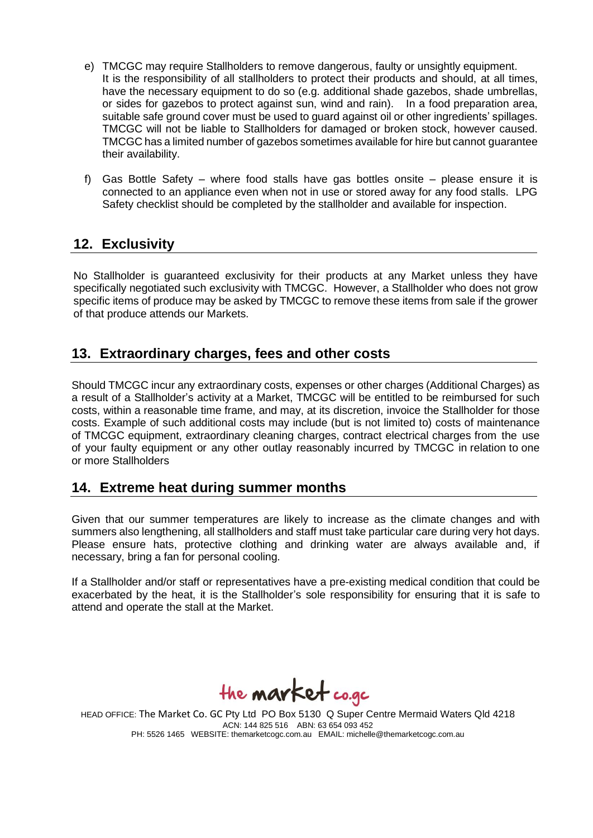- e) TMCGC may require Stallholders to remove dangerous, faulty or unsightly equipment. It is the responsibility of all stallholders to protect their products and should, at all times, have the necessary equipment to do so (e.g. additional shade gazebos, shade umbrellas, or sides for gazebos to protect against sun, wind and rain). In a food preparation area, suitable safe ground cover must be used to guard against oil or other ingredients' spillages. TMCGC will not be liable to Stallholders for damaged or broken stock, however caused. TMCGC has a limited number of gazebos sometimes available for hire but cannot guarantee their availability.
- f) Gas Bottle Safety where food stalls have gas bottles onsite please ensure it is connected to an appliance even when not in use or stored away for any food stalls. LPG Safety checklist should be completed by the stallholder and available for inspection.

## **12. Exclusivity**

No Stallholder is guaranteed exclusivity for their products at any Market unless they have specifically negotiated such exclusivity with TMCGC. However, a Stallholder who does not grow specific items of produce may be asked by TMCGC to remove these items from sale if the grower of that produce attends our Markets.

## **13. Extraordinary charges, fees and other costs**

Should TMCGC incur any extraordinary costs, expenses or other charges (Additional Charges) as a result of a Stallholder's activity at a Market, TMCGC will be entitled to be reimbursed for such costs, within a reasonable time frame, and may, at its discretion, invoice the Stallholder for those costs. Example of such additional costs may include (but is not limited to) costs of maintenance of TMCGC equipment, extraordinary cleaning charges, contract electrical charges from the use of your faulty equipment or any other outlay reasonably incurred by TMCGC in relation to one or more Stallholders

#### **14. Extreme heat during summer months**

Given that our summer temperatures are likely to increase as the climate changes and with summers also lengthening, all stallholders and staff must take particular care during very hot days. Please ensure hats, protective clothing and drinking water are always available and, if necessary, bring a fan for personal cooling.

If a Stallholder and/or staff or representatives have a pre-existing medical condition that could be exacerbated by the heat, it is the Stallholder's sole responsibility for ensuring that it is safe to attend and operate the stall at the Market.

the **market** co.gc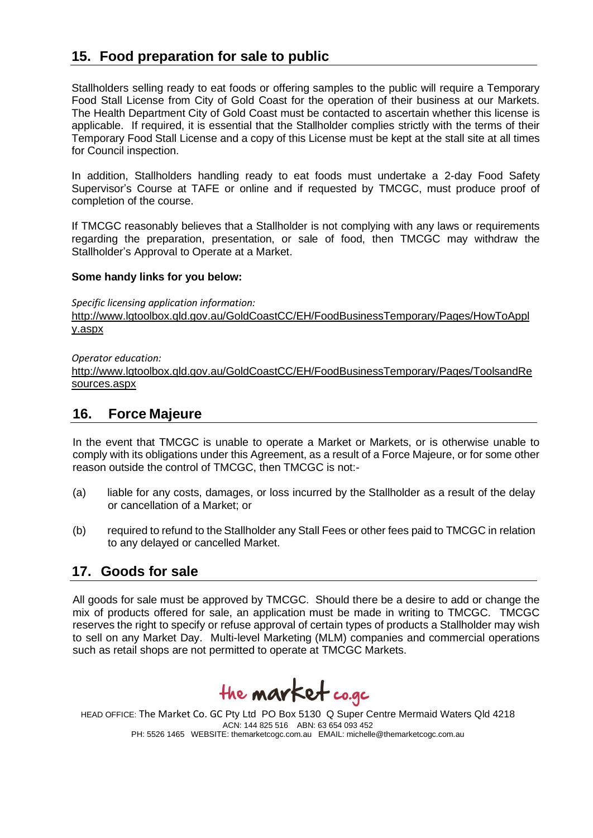## **15. Food preparation for sale to public**

Stallholders selling ready to eat foods or offering samples to the public will require a Temporary Food Stall License from City of Gold Coast for the operation of their business at our Markets. The Health Department City of Gold Coast must be contacted to ascertain whether this license is applicable. If required, it is essential that the Stallholder complies strictly with the terms of their Temporary Food Stall License and a copy of this License must be kept at the stall site at all times for Council inspection.

In addition, Stallholders handling ready to eat foods must undertake a 2-day Food Safety Supervisor's Course at TAFE or online and if requested by TMCGC, must produce proof of completion of the course.

If TMCGC reasonably believes that a Stallholder is not complying with any laws or requirements regarding the preparation, presentation, or sale of food, then TMCGC may withdraw the Stallholder's Approval to Operate at a Market.

#### **Some handy links for you below:**

*Specific licensing application information:* 

[http://www.lgtoolbox.qld.gov.au/GoldCoastCC/EH/FoodBusinessTemporary/Pages/HowToAppl](http://www.lgtoolbox.qld.gov.au/GoldCoastCC/EH/FoodBusinessTemporary/Pages/HowToApply.aspx) [y.aspx](http://www.lgtoolbox.qld.gov.au/GoldCoastCC/EH/FoodBusinessTemporary/Pages/HowToApply.aspx)

*Operator education:* 

[http://www.lgtoolbox.qld.gov.au/GoldCoastCC/EH/FoodBusinessTemporary/Pages/ToolsandRe](http://www.lgtoolbox.qld.gov.au/GoldCoastCC/EH/FoodBusinessTemporary/Pages/ToolsandResources.aspx) [sources.aspx](http://www.lgtoolbox.qld.gov.au/GoldCoastCC/EH/FoodBusinessTemporary/Pages/ToolsandResources.aspx)

#### **16. Force Majeure**

In the event that TMCGC is unable to operate a Market or Markets, or is otherwise unable to comply with its obligations under this Agreement, as a result of a Force Majeure, or for some other reason outside the control of TMCGC, then TMCGC is not:-

- (a) liable for any costs, damages, or loss incurred by the Stallholder as a result of the delay or cancellation of a Market; or
- (b) required to refund to the Stallholder any Stall Fees or other fees paid to TMCGC in relation to any delayed or cancelled Market.

#### **17. Goods for sale**

All goods for sale must be approved by TMCGC. Should there be a desire to add or change the mix of products offered for sale, an application must be made in writing to TMCGC. TMCGC reserves the right to specify or refuse approval of certain types of products a Stallholder may wish to sell on any Market Day. Multi-level Marketing (MLM) companies and commercial operations such as retail shops are not permitted to operate at TMCGC Markets.

the **market** co.gc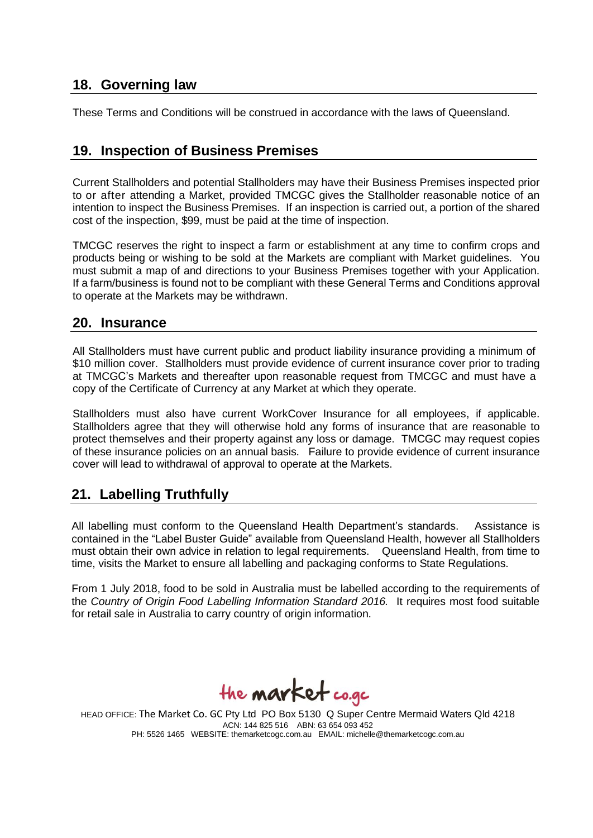#### **18. Governing law**

These Terms and Conditions will be construed in accordance with the laws of Queensland.

#### **19. Inspection of Business Premises**

Current Stallholders and potential Stallholders may have their Business Premises inspected prior to or after attending a Market, provided TMCGC gives the Stallholder reasonable notice of an intention to inspect the Business Premises. If an inspection is carried out, a portion of the shared cost of the inspection, \$99, must be paid at the time of inspection.

TMCGC reserves the right to inspect a farm or establishment at any time to confirm crops and products being or wishing to be sold at the Markets are compliant with Market guidelines. You must submit a map of and directions to your Business Premises together with your Application. If a farm/business is found not to be compliant with these General Terms and Conditions approval to operate at the Markets may be withdrawn.

#### **20. Insurance**

All Stallholders must have current public and product liability insurance providing a minimum of \$10 million cover. Stallholders must provide evidence of current insurance cover prior to trading at TMCGC's Markets and thereafter upon reasonable request from TMCGC and must have a copy of the Certificate of Currency at any Market at which they operate.

Stallholders must also have current WorkCover Insurance for all employees, if applicable. Stallholders agree that they will otherwise hold any forms of insurance that are reasonable to protect themselves and their property against any loss or damage. TMCGC may request copies of these insurance policies on an annual basis. Failure to provide evidence of current insurance cover will lead to withdrawal of approval to operate at the Markets.

#### **21. Labelling Truthfully**

All labelling must conform to the Queensland Health Department's standards. Assistance is contained in the "Label Buster Guide" available from Queensland Health, however all Stallholders must obtain their own advice in relation to legal requirements. Queensland Health, from time to time, visits the Market to ensure all labelling and packaging conforms to State Regulations.

From 1 July 2018, food to be sold in Australia must be labelled according to the requirements of the *Country of Origin Food Labelling Information Standard 2016.* It requires most food suitable for retail sale in Australia to carry country of origin information.

the **market** co.gc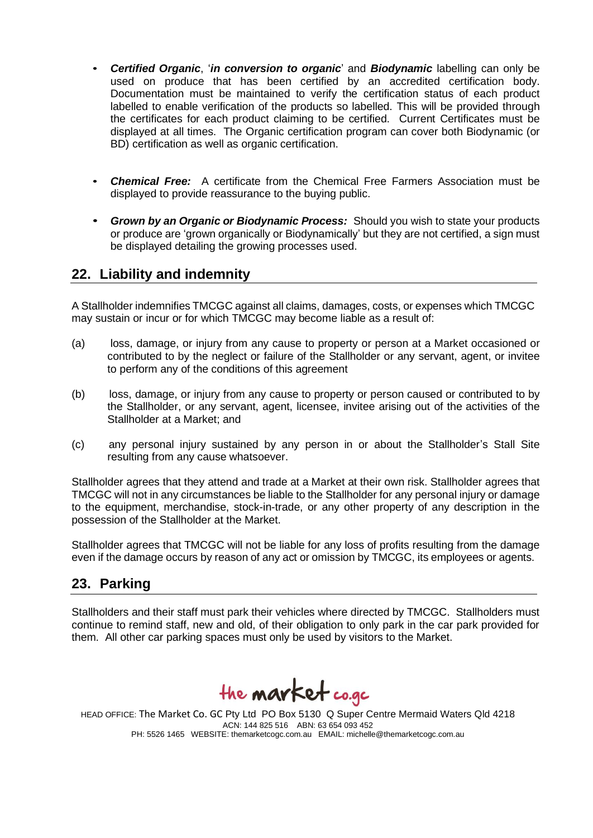- *Certified Organic*, '*in conversion to organic*' and *Biodynamic* labelling can only be used on produce that has been certified by an accredited certification body. Documentation must be maintained to verify the certification status of each product labelled to enable verification of the products so labelled. This will be provided through the certificates for each product claiming to be certified. Current Certificates must be displayed at all times. The Organic certification program can cover both Biodynamic (or BD) certification as well as organic certification.
- *Chemical Free:* A certificate from the Chemical Free Farmers Association must be displayed to provide reassurance to the buying public.
- *Grown by an Organic or Biodynamic Process:* Should you wish to state your products or produce are 'grown organically or Biodynamically' but they are not certified, a sign must be displayed detailing the growing processes used.

## **22. Liability and indemnity**

A Stallholder indemnifies TMCGC against all claims, damages, costs, or expenses which TMCGC may sustain or incur or for which TMCGC may become liable as a result of:

- (a) loss, damage, or injury from any cause to property or person at a Market occasioned or contributed to by the neglect or failure of the Stallholder or any servant, agent, or invitee to perform any of the conditions of this agreement
- (b) loss, damage, or injury from any cause to property or person caused or contributed to by the Stallholder, or any servant, agent, licensee, invitee arising out of the activities of the Stallholder at a Market; and
- (c) any personal injury sustained by any person in or about the Stallholder's Stall Site resulting from any cause whatsoever.

Stallholder agrees that they attend and trade at a Market at their own risk. Stallholder agrees that TMCGC will not in any circumstances be liable to the Stallholder for any personal injury or damage to the equipment, merchandise, stock-in-trade, or any other property of any description in the possession of the Stallholder at the Market.

Stallholder agrees that TMCGC will not be liable for any loss of profits resulting from the damage even if the damage occurs by reason of any act or omission by TMCGC, its employees or agents.

## **23. Parking**

Stallholders and their staff must park their vehicles where directed by TMCGC. Stallholders must continue to remind staff, new and old, of their obligation to only park in the car park provided for them. All other car parking spaces must only be used by visitors to the Market.

the **market** co.gc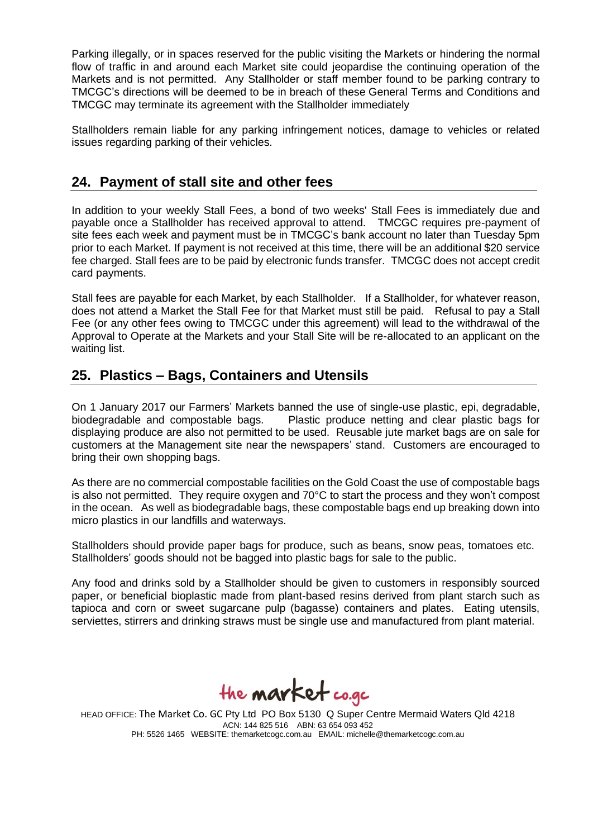Parking illegally, or in spaces reserved for the public visiting the Markets or hindering the normal flow of traffic in and around each Market site could jeopardise the continuing operation of the Markets and is not permitted. Any Stallholder or staff member found to be parking contrary to TMCGC's directions will be deemed to be in breach of these General Terms and Conditions and TMCGC may terminate its agreement with the Stallholder immediately

Stallholders remain liable for any parking infringement notices, damage to vehicles or related issues regarding parking of their vehicles.

#### **24. Payment of stall site and other fees**

In addition to your weekly Stall Fees, a bond of two weeks' Stall Fees is immediately due and payable once a Stallholder has received approval to attend. TMCGC requires pre-payment of site fees each week and payment must be in TMCGC's bank account no later than Tuesday 5pm prior to each Market. If payment is not received at this time, there will be an additional \$20 service fee charged. Stall fees are to be paid by electronic funds transfer. TMCGC does not accept credit card payments.

Stall fees are payable for each Market, by each Stallholder. If a Stallholder, for whatever reason, does not attend a Market the Stall Fee for that Market must still be paid. Refusal to pay a Stall Fee (or any other fees owing to TMCGC under this agreement) will lead to the withdrawal of the Approval to Operate at the Markets and your Stall Site will be re-allocated to an applicant on the waiting list.

#### **25. Plastics – Bags, Containers and Utensils**

On 1 January 2017 our Farmers' Markets banned the use of single-use plastic, epi, degradable, biodegradable and compostable bags. Plastic produce netting and clear plastic bags for displaying produce are also not permitted to be used. Reusable jute market bags are on sale for customers at the Management site near the newspapers' stand. Customers are encouraged to bring their own shopping bags.

As there are no commercial compostable facilities on the Gold Coast the use of compostable bags is also not permitted. They require oxygen and 70°C to start the process and they won't compost in the ocean. As well as biodegradable bags, these compostable bags end up breaking down into micro plastics in our landfills and waterways.

Stallholders should provide paper bags for produce, such as beans, snow peas, tomatoes etc. Stallholders' goods should not be bagged into plastic bags for sale to the public.

Any food and drinks sold by a Stallholder should be given to customers in responsibly sourced paper, or beneficial bioplastic made from plant-based resins derived from plant starch such as tapioca and corn or sweet sugarcane pulp (bagasse) containers and plates. Eating utensils, serviettes, stirrers and drinking straws must be single use and manufactured from plant material.

the **market** co.gc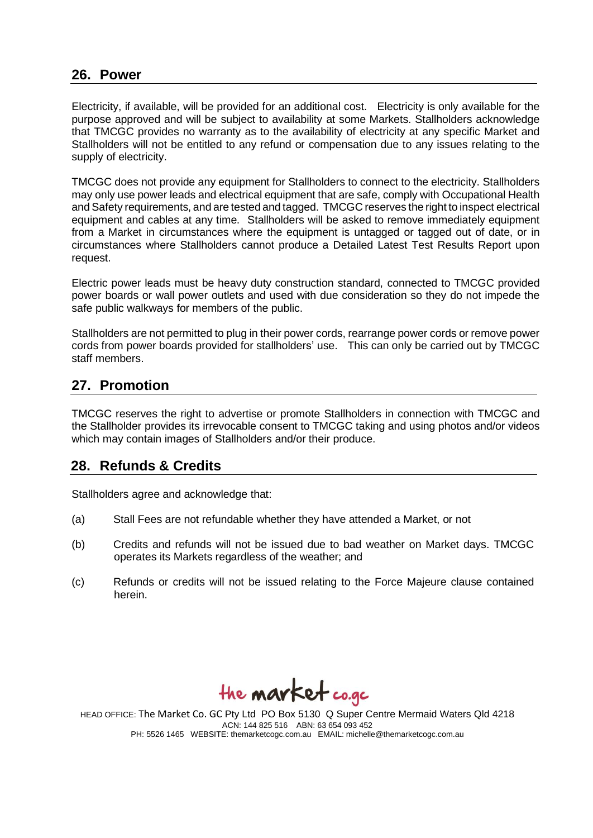#### **26. Power**

Electricity, if available, will be provided for an additional cost. Electricity is only available for the purpose approved and will be subject to availability at some Markets. Stallholders acknowledge that TMCGC provides no warranty as to the availability of electricity at any specific Market and Stallholders will not be entitled to any refund or compensation due to any issues relating to the supply of electricity.

TMCGC does not provide any equipment for Stallholders to connect to the electricity. Stallholders may only use power leads and electrical equipment that are safe, comply with Occupational Health and Safety requirements, and are tested and tagged. TMCGC reserves the right to inspect electrical equipment and cables at any time. Stallholders will be asked to remove immediately equipment from a Market in circumstances where the equipment is untagged or tagged out of date, or in circumstances where Stallholders cannot produce a Detailed Latest Test Results Report upon request.

Electric power leads must be heavy duty construction standard, connected to TMCGC provided power boards or wall power outlets and used with due consideration so they do not impede the safe public walkways for members of the public.

Stallholders are not permitted to plug in their power cords, rearrange power cords or remove power cords from power boards provided for stallholders' use. This can only be carried out by TMCGC staff members.

## **27. Promotion**

TMCGC reserves the right to advertise or promote Stallholders in connection with TMCGC and the Stallholder provides its irrevocable consent to TMCGC taking and using photos and/or videos which may contain images of Stallholders and/or their produce.

#### **28. Refunds & Credits**

Stallholders agree and acknowledge that:

- (a) Stall Fees are not refundable whether they have attended a Market, or not
- (b) Credits and refunds will not be issued due to bad weather on Market days. TMCGC operates its Markets regardless of the weather; and
- (c) Refunds or credits will not be issued relating to the Force Majeure clause contained herein.

the **market** co.gc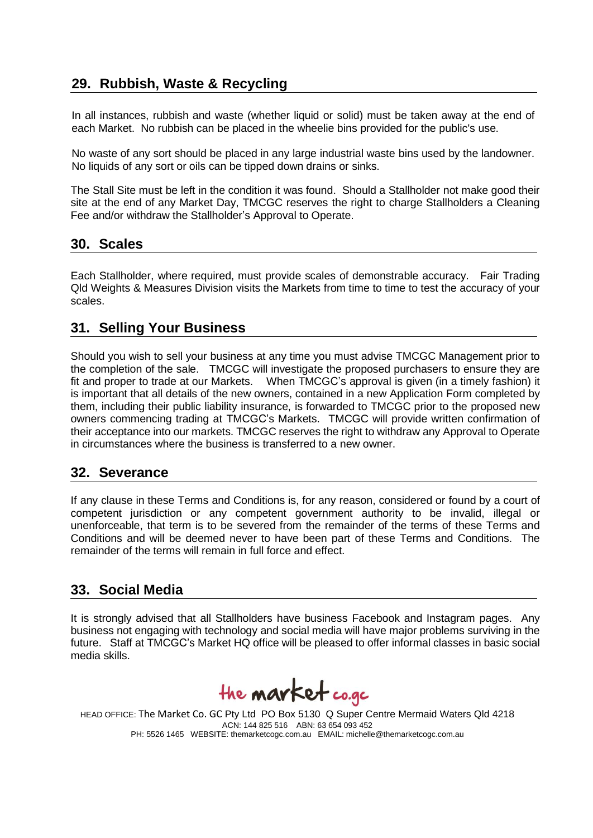## **29. Rubbish, Waste & Recycling**

In all instances, rubbish and waste (whether liquid or solid) must be taken away at the end of each Market. No rubbish can be placed in the wheelie bins provided for the public's use.

No waste of any sort should be placed in any large industrial waste bins used by the landowner. No liquids of any sort or oils can be tipped down drains or sinks.

The Stall Site must be left in the condition it was found. Should a Stallholder not make good their site at the end of any Market Day, TMCGC reserves the right to charge Stallholders a Cleaning Fee and/or withdraw the Stallholder's Approval to Operate.

#### **30. Scales**

Each Stallholder, where required, must provide scales of demonstrable accuracy. Fair Trading Qld Weights & Measures Division visits the Markets from time to time to test the accuracy of your scales.

#### **31. Selling Your Business**

Should you wish to sell your business at any time you must advise TMCGC Management prior to the completion of the sale. TMCGC will investigate the proposed purchasers to ensure they are fit and proper to trade at our Markets. When TMCGC's approval is given (in a timely fashion) it is important that all details of the new owners, contained in a new Application Form completed by them, including their public liability insurance, is forwarded to TMCGC prior to the proposed new owners commencing trading at TMCGC's Markets. TMCGC will provide written confirmation of their acceptance into our markets. TMCGC reserves the right to withdraw any Approval to Operate in circumstances where the business is transferred to a new owner.

#### **32. Severance**

If any clause in these Terms and Conditions is, for any reason, considered or found by a court of competent jurisdiction or any competent government authority to be invalid, illegal or unenforceable, that term is to be severed from the remainder of the terms of these Terms and Conditions and will be deemed never to have been part of these Terms and Conditions. The remainder of the terms will remain in full force and effect.

## **33. Social Media**

It is strongly advised that all Stallholders have business Facebook and Instagram pages. Any business not engaging with technology and social media will have major problems surviving in the future. Staff at TMCGC's Market HQ office will be pleased to offer informal classes in basic social media skills.

the **market** co.gc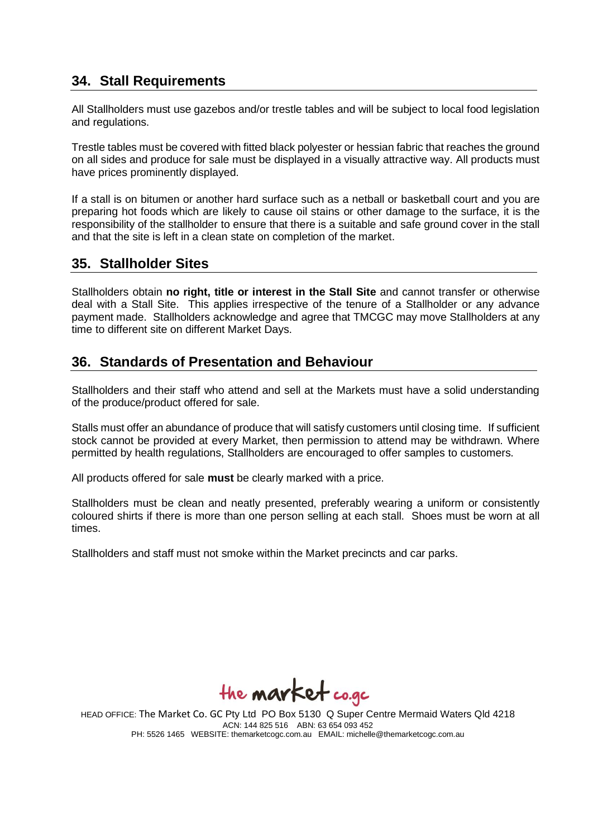## **34. Stall Requirements**

All Stallholders must use gazebos and/or trestle tables and will be subject to local food legislation and regulations.

Trestle tables must be covered with fitted black polyester or hessian fabric that reaches the ground on all sides and produce for sale must be displayed in a visually attractive way. All products must have prices prominently displayed.

If a stall is on bitumen or another hard surface such as a netball or basketball court and you are preparing hot foods which are likely to cause oil stains or other damage to the surface, it is the responsibility of the stallholder to ensure that there is a suitable and safe ground cover in the stall and that the site is left in a clean state on completion of the market.

#### **35. Stallholder Sites**

Stallholders obtain **no right, title or interest in the Stall Site** and cannot transfer or otherwise deal with a Stall Site. This applies irrespective of the tenure of a Stallholder or any advance payment made. Stallholders acknowledge and agree that TMCGC may move Stallholders at any time to different site on different Market Days.

## **36. Standards of Presentation and Behaviour**

Stallholders and their staff who attend and sell at the Markets must have a solid understanding of the produce/product offered for sale.

Stalls must offer an abundance of produce that will satisfy customers until closing time. If sufficient stock cannot be provided at every Market, then permission to attend may be withdrawn. Where permitted by health regulations, Stallholders are encouraged to offer samples to customers.

All products offered for sale **must** be clearly marked with a price.

Stallholders must be clean and neatly presented, preferably wearing a uniform or consistently coloured shirts if there is more than one person selling at each stall. Shoes must be worn at all times.

Stallholders and staff must not smoke within the Market precincts and car parks.

the **market** co.gc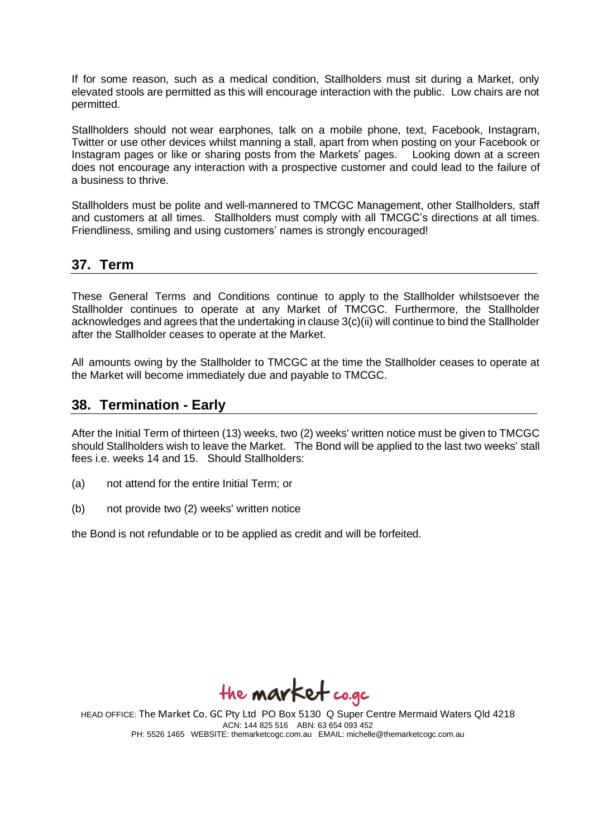If for some reason, such as a medical condition, Stallholders must sit during a Market, only elevated stools are permitted as this will encourage interaction with the public. Low chairs are not permitted.

Stallholders should not wear earphones, talk on a mobile phone, text, Facebook, Instagram, Twitter or use other devices whilst manning a stall, apart from when posting on your Facebook or Instagram pages or like or sharing posts from the Markets' pages. Looking down at a screen does not encourage any interaction with a prospective customer and could lead to the failure of a business to thrive.

Stallholders must be polite and well-mannered to TMCGC Management, other Stallholders, staff and customers at all times. Stallholders must comply with all TMCGC's directions at all times. Friendliness, smiling and using customers' names is strongly encouraged!

#### **37. Term**

These General Terms and Conditions continue to apply to the Stallholder whilstsoever the Stallholder continues to operate at any Market of TMCGC. Furthermore, the Stallholder acknowledges and agrees that the undertaking in clause 3(c)(ii) will continue to bind the Stallholder after the Stallholder ceases to operate at the Market.

All amounts owing by the Stallholder to TMCGC at the time the Stallholder ceases to operate at the Market will become immediately due and payable to TMCGC.

#### **38. Termination - Early**

After the Initial Term of thirteen (13) weeks, two (2) weeks' written notice must be given to TMCGC should Stallholders wish to leave the Market. The Bond will be applied to the last two weeks' stall fees i.e. weeks 14 and 15. Should Stallholders:

- (a) not attend for the entire Initial Term; or
- (b) not provide two (2) weeks' written notice

the Bond is not refundable or to be applied as credit and will be forfeited.

the **market** co.gc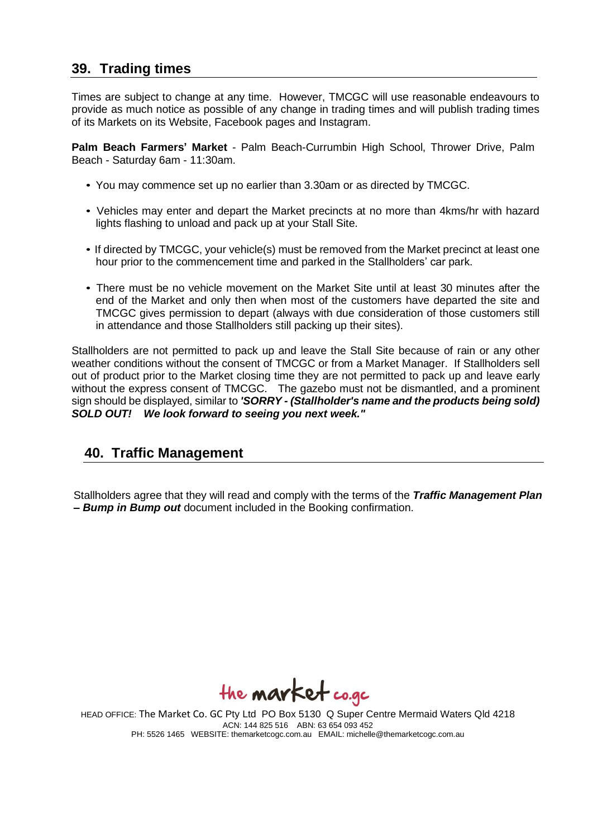#### **39. Trading times**

Times are subject to change at any time. However, TMCGC will use reasonable endeavours to provide as much notice as possible of any change in trading times and will publish trading times of its Markets on its Website, Facebook pages and Instagram.

**Palm Beach Farmers' Market** - Palm Beach-Currumbin High School, Thrower Drive, Palm Beach - Saturday 6am - 11:30am.

- You may commence set up no earlier than 3.30am or as directed by TMCGC.
- Vehicles may enter and depart the Market precincts at no more than 4kms/hr with hazard lights flashing to unload and pack up at your Stall Site.
- If directed by TMCGC, your vehicle(s) must be removed from the Market precinct at least one hour prior to the commencement time and parked in the Stallholders' car park.
- There must be no vehicle movement on the Market Site until at least 30 minutes after the end of the Market and only then when most of the customers have departed the site and TMCGC gives permission to depart (always with due consideration of those customers still in attendance and those Stallholders still packing up their sites).

Stallholders are not permitted to pack up and leave the Stall Site because of rain or any other weather conditions without the consent of TMCGC or from a Market Manager. If Stallholders sell out of product prior to the Market closing time they are not permitted to pack up and leave early without the express consent of TMCGC. The gazebo must not be dismantled, and a prominent sign should be displayed, similar to *'SORRY - (Stallholder's name and the products being sold) SOLD OUT! We look forward to seeing you next week."*

#### **40. Traffic Management**

Stallholders agree that they will read and comply with the terms of the *Traffic Management Plan* **–** *Bump in Bump out* document included in the Booking confirmation.

the **market** co.gc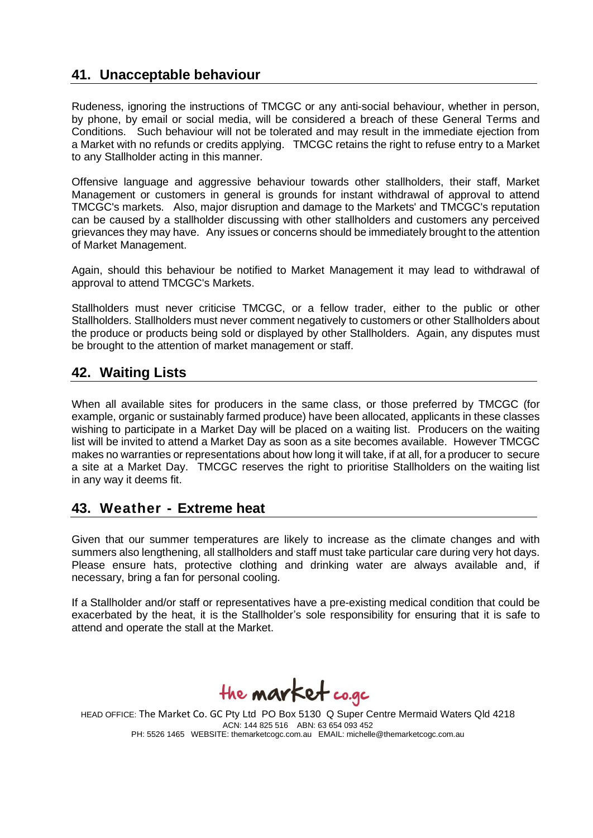## **41. Unacceptable behaviour**

Rudeness, ignoring the instructions of TMCGC or any anti-social behaviour, whether in person, by phone, by email or social media, will be considered a breach of these General Terms and Conditions. Such behaviour will not be tolerated and may result in the immediate ejection from a Market with no refunds or credits applying. TMCGC retains the right to refuse entry to a Market to any Stallholder acting in this manner.

Offensive language and aggressive behaviour towards other stallholders, their staff, Market Management or customers in general is grounds for instant withdrawal of approval to attend TMCGC's markets. Also, major disruption and damage to the Markets' and TMCGC's reputation can be caused by a stallholder discussing with other stallholders and customers any perceived grievances they may have. Any issues or concerns should be immediately brought to the attention of Market Management.

Again, should this behaviour be notified to Market Management it may lead to withdrawal of approval to attend TMCGC's Markets.

Stallholders must never criticise TMCGC, or a fellow trader, either to the public or other Stallholders. Stallholders must never comment negatively to customers or other Stallholders about the produce or products being sold or displayed by other Stallholders. Again, any disputes must be brought to the attention of market management or staff.

#### **42. Waiting Lists**

When all available sites for producers in the same class, or those preferred by TMCGC (for example, organic or sustainably farmed produce) have been allocated, applicants in these classes wishing to participate in a Market Day will be placed on a waiting list. Producers on the waiting list will be invited to attend a Market Day as soon as a site becomes available. However TMCGC makes no warranties or representations about how long it will take, if at all, for a producer to secure a site at a Market Day. TMCGC reserves the right to prioritise Stallholders on the waiting list in any way it deems fit.

#### **43. Weather - Extreme heat**

Given that our summer temperatures are likely to increase as the climate changes and with summers also lengthening, all stallholders and staff must take particular care during very hot days. Please ensure hats, protective clothing and drinking water are always available and, if necessary, bring a fan for personal cooling.

If a Stallholder and/or staff or representatives have a pre-existing medical condition that could be exacerbated by the heat, it is the Stallholder's sole responsibility for ensuring that it is safe to attend and operate the stall at the Market.

the **market** co.gc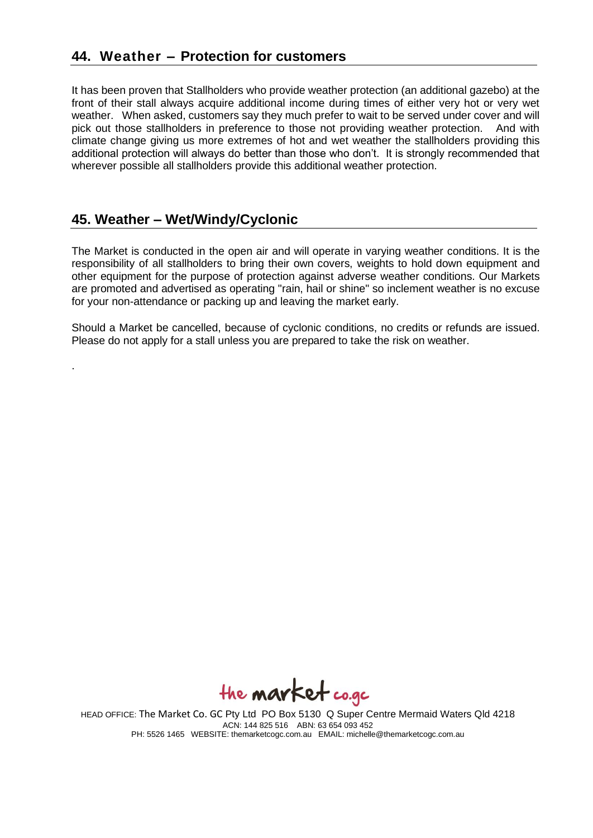It has been proven that Stallholders who provide weather protection (an additional gazebo) at the front of their stall always acquire additional income during times of either very hot or very wet weather. When asked, customers say they much prefer to wait to be served under cover and will pick out those stallholders in preference to those not providing weather protection. And with climate change giving us more extremes of hot and wet weather the stallholders providing this additional protection will always do better than those who don't. It is strongly recommended that wherever possible all stallholders provide this additional weather protection.

## **45. Weather – Wet/Windy/Cyclonic**

.

The Market is conducted in the open air and will operate in varying weather conditions. It is the responsibility of all stallholders to bring their own covers, weights to hold down equipment and other equipment for the purpose of protection against adverse weather conditions. Our Markets are promoted and advertised as operating "rain, hail or shine" so inclement weather is no excuse for your non-attendance or packing up and leaving the market early.

Should a Market be cancelled, because of cyclonic conditions, no credits or refunds are issued. Please do not apply for a stall unless you are prepared to take the risk on weather.

the **market** co.gc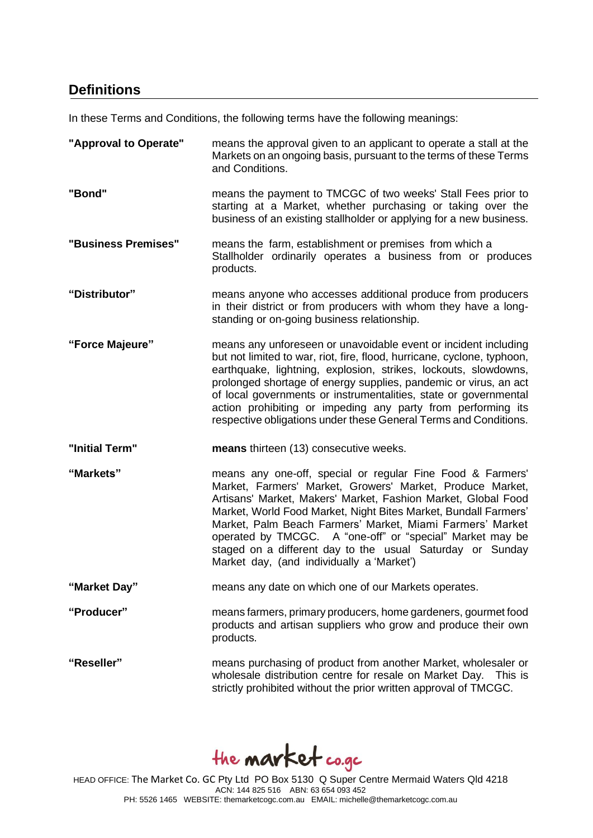## **Definitions**

In these Terms and Conditions, the following terms have the following meanings:

**"Approval to Operate"** means the approval given to an applicant to operate a stall at the Markets on an ongoing basis, pursuant to the terms of these Terms and Conditions. **"Bond"** means the payment to TMCGC of two weeks' Stall Fees prior to starting at a Market, whether purchasing or taking over the business of an existing stallholder or applying for a new business. **"Business Premises"** means the farm, establishment or premises from which a Stallholder ordinarily operates a business from or produces products. **"Distributor"** means anyone who accesses additional produce from producers in their district or from producers with whom they have a longstanding or on-going business relationship. **"Force Majeure"** means any unforeseen or unavoidable event or incident including but not limited to war, riot, fire, flood, hurricane, cyclone, typhoon, earthquake, lightning, explosion, strikes, lockouts, slowdowns, prolonged shortage of energy supplies, pandemic or virus, an act of local governments or instrumentalities, state or governmental action prohibiting or impeding any party from performing its respective obligations under these General Terms and Conditions. **"Initial Term" means** thirteen (13) consecutive weeks. **"Markets"** means any one-off, special or regular Fine Food & Farmers' Market, Farmers' Market, Growers' Market, Produce Market, Artisans' Market, Makers' Market, Fashion Market, Global Food Market, World Food Market, Night Bites Market, Bundall Farmers' Market, Palm Beach Farmers' Market, Miami Farmers' Market operated by TMCGC. A "one-off" or "special" Market may be staged on a different day to the usual Saturday or Sunday Market day, (and individually a 'Market') **"Market Day"** means any date on which one of our Markets operates. **"Producer"** means farmers, primary producers, home gardeners, gourmet food products and artisan suppliers who grow and produce their own products. **"Reseller"** means purchasing of product from another Market, wholesaler or wholesale distribution centre for resale on Market Day. This is strictly prohibited without the prior written approval of TMCGC.

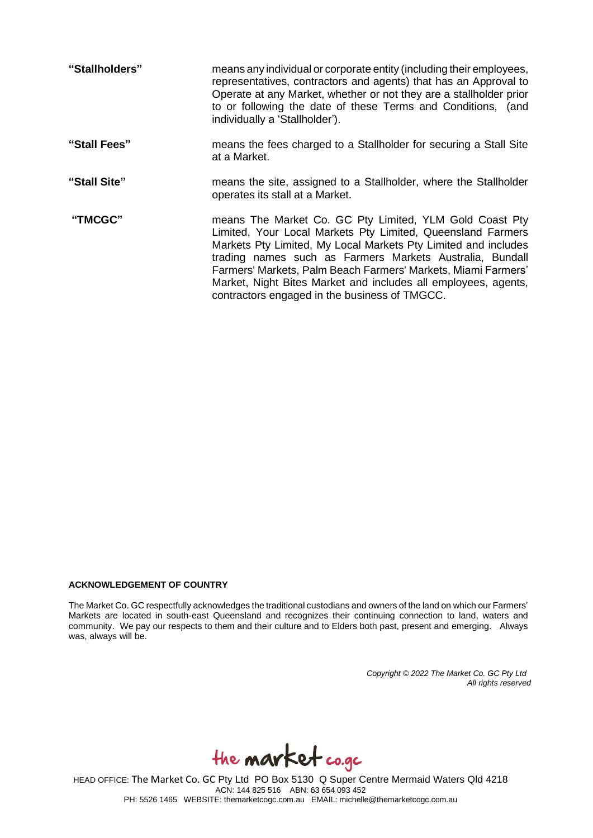| "Stallholders" | means any individual or corporate entity (including their employees,<br>representatives, contractors and agents) that has an Approval to<br>Operate at any Market, whether or not they are a stallholder prior<br>to or following the date of these Terms and Conditions, (and<br>individually a 'Stallholder').                                                                                                                         |
|----------------|------------------------------------------------------------------------------------------------------------------------------------------------------------------------------------------------------------------------------------------------------------------------------------------------------------------------------------------------------------------------------------------------------------------------------------------|
| "Stall Fees"   | means the fees charged to a Stallholder for securing a Stall Site<br>at a Market.                                                                                                                                                                                                                                                                                                                                                        |
| "Stall Site"   | means the site, assigned to a Stallholder, where the Stallholder<br>operates its stall at a Market.                                                                                                                                                                                                                                                                                                                                      |
| "TMCGC"        | means The Market Co. GC Pty Limited, YLM Gold Coast Pty<br>Limited, Your Local Markets Pty Limited, Queensland Farmers<br>Markets Pty Limited, My Local Markets Pty Limited and includes<br>trading names such as Farmers Markets Australia, Bundall<br>Farmers' Markets, Palm Beach Farmers' Markets, Miami Farmers'<br>Market, Night Bites Market and includes all employees, agents,<br>contractors engaged in the business of TMGCC. |

#### **ACKNOWLEDGEMENT OF COUNTRY**

The Market Co. GC respectfully acknowledges the traditional custodians and owners of the land on which our Farmers' Markets are located in south-east Queensland and recognizes their continuing connection to land, waters and community. We pay our respects to them and their culture and to Elders both past, present and emerging. Always was, always will be.

> *Copyright © 2022 The Market Co. GC Pty Ltd All rights reserved*

the **market** co.gc